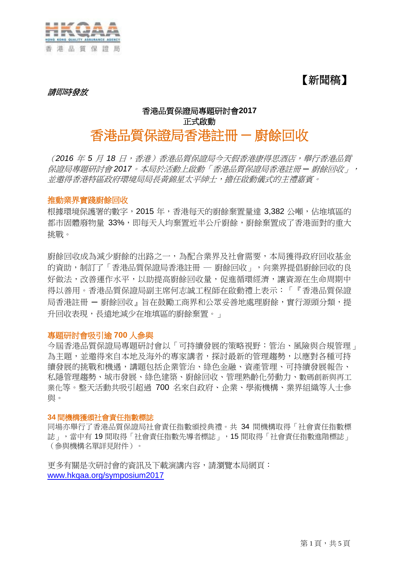

【新聞稿】

請即時發放

# 香港品質保證局專題研討會**2017** 正式啟動 香港品質保證局香港註冊 **─** 廚餘回收

(*2016* 年 *5* 月 *18* 日,香港)香港品質保證局今天假香港康得思酒店,舉行香港品質 保證局專題研討會 *2017*。本局於活動上啟動「香港品質保證局香港註冊 *─* 廚餘回收」, 並邀得香港特區政府環境局局長黃錦星太平紳士,擔任啟動儀式的主禮嘉賓。

#### 推動業界實踐廚餘回收

根據環境保護署的數字, 2015 年, 香港每天的廚餘棄置量達 3,382 公噸, 佔堆填區的 都市固體廢物量 33%,即每天人均棄置近半公斤廚餘,廚餘棄置成了香港面對的重大 挑戰。

廚餘回收成為減少廚餘的出路之一,為配合業界及社會需要,本局獲得政府回收基金 的資助,制訂了「香港品質保證局香港註冊 — 廚餘回收」, 向業界提倡廚餘回收的良 好做法,改善運作水平,以助提高廚餘回收量,促進循環經濟,讓資源在生命周期中 得以善用。香港品質保證局副主席何志誠工程師在啟動禮上表示:「『香港品質保證 局香港註冊 ー 廚餘回收 』 旨在鼓勵工商界和公眾妥善地處理廚餘,實行源頭分類,提 升回收表現,長遠地減少在堆填區的廚餘棄置。」

# 專題研討會吸引逾 **700** 人參與

今屆香港品質保證局專題研討會以「可持續發展的策略視野:管治、風險與合規管理」 為主題,並激得來自本地及海外的專家講者,探討最新的管理趨勢,以應對各種可持 續發展的挑戰和機遇,講題包括企業管治、綠色金融、資產管理、可持續發展報告、 私隱管理趨勢、城市發展、綠色建築、廚餘回收、管理熟齡化勞動力、數碼創新與再工 業化等。整天活動共吸引超過 700 名來自政府、企業、學術機構、業界組織等人士參 與。

#### **34** 間機構獲頒社會責任指數標誌

同場亦舉行了香港品質保證局社會責任指數頒授典禮。共 34 間機構取得「社會責任指數標 誌」,當中有19間取得「社會責任指數先導者標誌」,15間取得「社會責任指數進階標誌」 (參與機構名單詳見附件)。

更多有關是次研討會的資訊及下載演講内容,請瀏覽本局網頁: [www.hkqaa.org/symposium2017](http://www.hkqaa.org/symposium2017)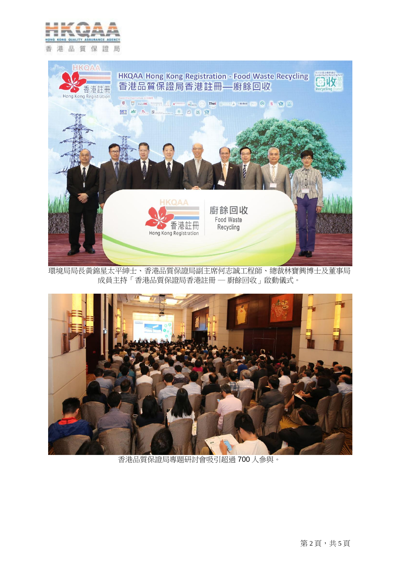



環境局局長黃錦星太平紳士、香港品質保證局副主席何志誠工程師、總裁林寶興博士及董事局 成員主持「香港品質保證局香港註冊 ─ 廚餘回收」啟動儀式。



香港品質保證局專題研討會吸引超過 700 人參與。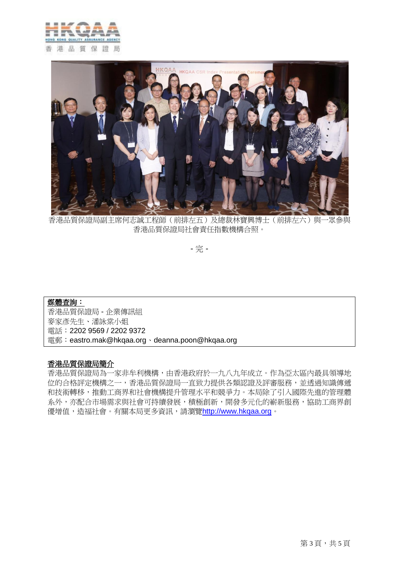



香港品質保證局副主席何志誠工程師(前排左五)及總裁林寶興博士(前排左六)與一眾參與 香港品質保證局社會責任指數機構合照。

- 完 -

# 媒體查詢: 香港品質保證局 - 企業傳訊組 麥家彥先生、潘詠棠小姐 電話:2202 9569 / 2202 9372 電郵:eastro.mak@hkqaa.org、deanna.poon@hkqaa.org

# 香港品質保證局簡介

香港品質保證局為一家非牟利機構,由香港政府於一九八九年成立。作為亞太區內最具領導地 位的合格評定機構之一,香港品質保證局一直致力提供各類認證及評審服務,並透過知識傳遞 和技術轉移,推動工商界和社會機構提升管理水平和競爭力。本局除了引入國際先進的管理體 系外,亦配合市場需求與社會可持續發展,積極創新,開發多元化的嶄新服務,協助工商界創 優增值,造福社會。有關本局更多資訊,請瀏覽[http://www.hkqaa.org](http://www.hkqaa.org/)。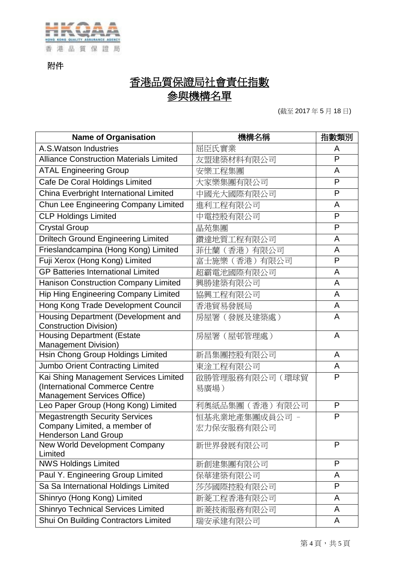

附件

# 香港品質保證局社會責任指數 參與機構名單

(截至 2017 年 5 月 18 日)

| <b>Name of Organisation</b>                                          | 機構名稱                         | 指數類別 |
|----------------------------------------------------------------------|------------------------------|------|
| A.S. Watson Industries                                               | 屈臣氏實業                        | A    |
| <b>Alliance Construction Materials Limited</b>                       | 友盟建築材料有限公司                   | P    |
| <b>ATAL Engineering Group</b>                                        | 安樂工程集團                       | A    |
| Cafe De Coral Holdings Limited                                       | 大家樂集團有限公司                    | P    |
| China Everbright International Limited                               | 中國光大國際有限公司                   | P    |
| Chun Lee Engineering Company Limited                                 | 進利工程有限公司                     | A    |
| <b>CLP Holdings Limited</b>                                          | 中電控股有限公司                     | P    |
| <b>Crystal Group</b>                                                 | 晶苑集團                         | P    |
| <b>Driltech Ground Engineering Limited</b>                           | 鑽達地質工程有限公司                   | A    |
| Frieslandcampina (Hong Kong) Limited                                 | 菲仕蘭(香港)有限公司                  | A    |
| Fuji Xerox (Hong Kong) Limited                                       | 富士施樂(香港)有限公司                 | P    |
| <b>GP Batteries International Limited</b>                            | 超霸電池國際有限公司                   | A    |
| Hanison Construction Company Limited                                 | 興勝建築有限公司                     | A    |
| Hip Hing Engineering Company Limited                                 | 協興工程有限公司                     | A    |
| Hong Kong Trade Development Council                                  | 香港貿易發展局                      | A    |
| Housing Department (Development and<br><b>Construction Division)</b> | 房屋署 (發展及建築處)                 | A    |
| <b>Housing Department (Estate</b><br><b>Management Division)</b>     | 房屋署(屋邨管理處)                   | A    |
| Hsin Chong Group Holdings Limited                                    | 新昌集團控股有限公司                   | A    |
| Jumbo Orient Contracting Limited                                     | 東淦工程有限公司                     | A    |
| Kai Shing Management Services Limited                                | 啟勝管理服務有限公司(環球貿               | P    |
| (International Commerce Centre                                       | 易廣場)                         |      |
| Management Services Office)<br>Leo Paper Group (Hong Kong) Limited   | 利奧紙品集團 (香港) 有限公司             | P    |
| <b>Megastrength Security Services</b>                                |                              | P    |
| Company Limited, a member of                                         | 恒基兆業地產集團成員公司 -<br>宏力保安服務有限公司 |      |
| <b>Henderson Land Group</b>                                          |                              |      |
| New World Development Company                                        | 新世界發展有限公司                    | P    |
| Limited                                                              |                              |      |
| <b>NWS Holdings Limited</b>                                          | 新創建集團有限公司                    | P    |
| Paul Y. Engineering Group Limited                                    | 保華建築有限公司                     | A    |
| Sa Sa International Holdings Limited                                 | 莎莎國際控股有限公司                   | P    |
| Shinryo (Hong Kong) Limited                                          | 新菱工程香港有限公司                   | A    |
| <b>Shinryo Technical Services Limited</b>                            | 新菱技術服務有限公司                   | A    |
| Shui On Building Contractors Limited                                 | 瑞安承建有限公司                     | A    |